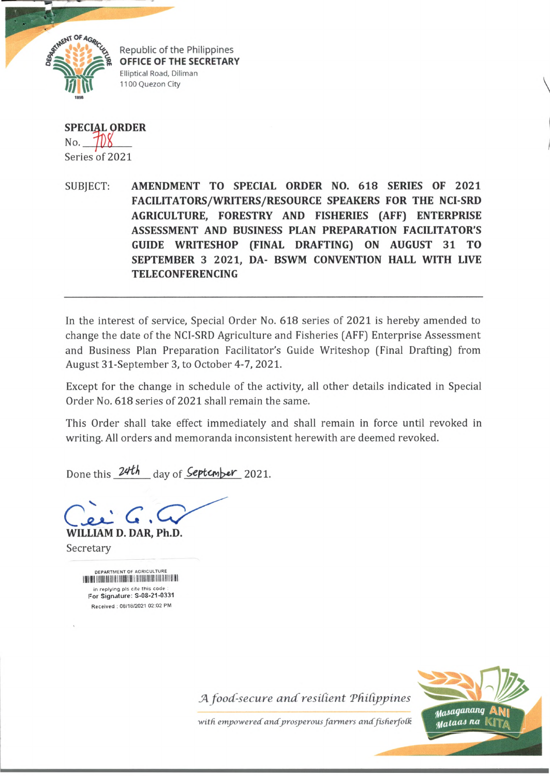

**SPECIAL ORDER** n o . **ypK** Series of 2021

SUBJECT: **AMENDMENT TO SPECIAL ORDER NO.** 618 **SERIES OF** 2021 **FACILITATORS/WRITERS/RESOURCE SPEAKERS FOR THE NCI-SRD AGRICULTURE, FORESTRY AND FISHERIES (AFF) ENTERPRISE ASSESSMENT AND BUSINESS PLAN PREPARATION FACILITATOR'S GUIDE WRITESHOP (FINAL DRAFTING) ON AUGUST 31 TO SEPTEMBER 3 2021, DA- BSWM CONVENTION HALL WITH LIVE TELECONFERENCING**

In the interest of service, Special Order No. 618 series of 2021 is hereby amended to change the date of the NCI-SRD Agriculture and Fisheries (AFF) Enterprise Assessment and Business Plan Preparation Facilitator's Guide Writeshop (Final Drafting) from August 31-September 3, to October 4-7, 2021.

Except for the change in schedule of the activity, all other details indicated in Special Order No. 618 series of 2021 shall remain the same.

This Order shall take effect immediately and shall remain in force until revoked in writing. All orders and memoranda inconsistent herewith are deemed revoked.

Done this 24th day of **September** 2021.

**WILLIAM D. DAR, Ph.D.** Secretary

> DEPARTMENT OF AGRICULTURE I **ILLI LILLI LILLI LILLI LILLI LILLI LILLI LILLI LILLI LILLI LILLI LILLI LILL** in replying pls cite this code For Signature: S-08-21-0331 Received : 08/18/2021 02:02 PM

> > J4 *foocC-secure and resident Tdidpjyines*



with empowered and prosperous farmers and fisherfolk